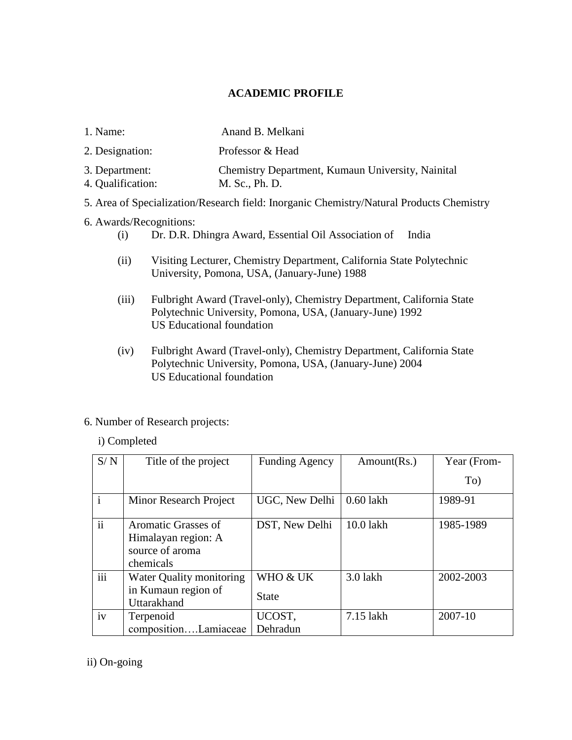## **ACADEMIC PROFILE**

- 1. Name: Anand B. Melkani
- 2. Designation: Professor & Head
- 3. Department: Chemistry Department, Kumaun University, Nainital
- 4. Qualification: M. Sc., Ph. D.
- 5. Area of Specialization/Research field: Inorganic Chemistry/Natural Products Chemistry
- 6. Awards/Recognitions:
	- (i) Dr. D.R. Dhingra Award, Essential Oil Association of India
	- (ii) Visiting Lecturer, Chemistry Department, California State Polytechnic University, Pomona, USA, (January-June) 1988
	- (iii) Fulbright Award (Travel-only), Chemistry Department, California State Polytechnic University, Pomona, USA, (January-June) 1992 US Educational foundation
	- (iv) Fulbright Award (Travel-only), Chemistry Department, California State Polytechnic University, Pomona, USA, (January-June) 2004 US Educational foundation

### 6. Number of Research projects:

### i) Completed

| S/N           | Title of the project     | <b>Funding Agency</b> | Amount(Rs.) | Year (From- |
|---------------|--------------------------|-----------------------|-------------|-------------|
|               |                          |                       |             | To)         |
| $\mathbf{i}$  | Minor Research Project   | UGC, New Delhi        | $0.60$ lakh | 1989-91     |
| $\mathbf{ii}$ | Aromatic Grasses of      | DST, New Delhi        | 10.0 lakh   | 1985-1989   |
|               | Himalayan region: A      |                       |             |             |
|               | source of aroma          |                       |             |             |
|               | chemicals                |                       |             |             |
| iii           | Water Quality monitoring | WHO & UK              | 3.0 lakh    | 2002-2003   |
|               | in Kumaun region of      | <b>State</b>          |             |             |
|               | Uttarakhand              |                       |             |             |
| iv            | Terpenoid                | UCOST,                | 7.15 lakh   | 2007-10     |
|               | compositionLamiaceae     | Dehradun              |             |             |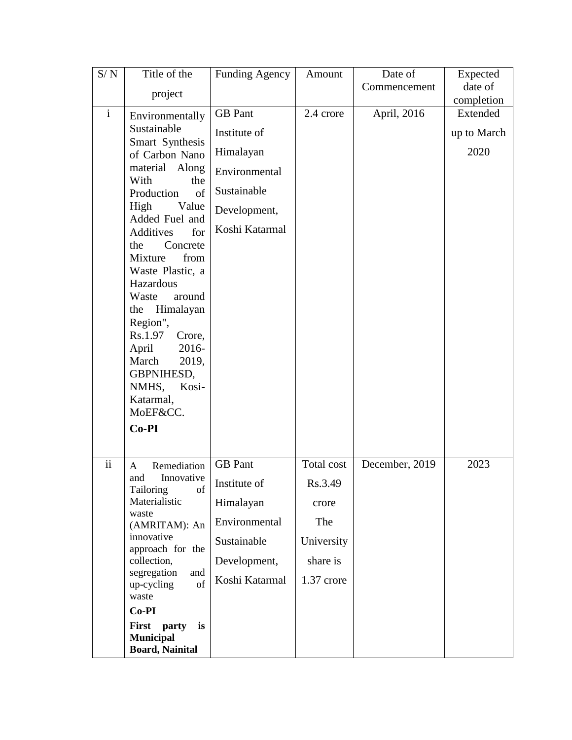| S/N                      | Title of the                                    | <b>Funding Agency</b> | Amount     | Date of        | Expected               |
|--------------------------|-------------------------------------------------|-----------------------|------------|----------------|------------------------|
|                          | project                                         |                       |            | Commencement   | date of                |
| $\mathbf{i}$             |                                                 | <b>GB</b> Pant        | 2.4 crore  |                | completion<br>Extended |
|                          | Environmentally                                 |                       |            | April, 2016    |                        |
|                          | Sustainable<br>Smart Synthesis                  | Institute of          |            |                | up to March            |
|                          | of Carbon Nano                                  | Himalayan             |            |                | 2020                   |
|                          | material Along<br>With<br>the                   | Environmental         |            |                |                        |
|                          | Production<br>of                                | Sustainable           |            |                |                        |
|                          | Value<br>High<br>Added Fuel and                 | Development,          |            |                |                        |
|                          | Additives<br>for                                | Koshi Katarmal        |            |                |                        |
|                          | Concrete<br>the                                 |                       |            |                |                        |
|                          | Mixture<br>from<br>Waste Plastic, a             |                       |            |                |                        |
|                          | Hazardous                                       |                       |            |                |                        |
|                          | Waste<br>around                                 |                       |            |                |                        |
|                          | Himalayan<br>the                                |                       |            |                |                        |
|                          | Region",<br>Rs.1.97<br>Crore,                   |                       |            |                |                        |
|                          | 2016-<br>April                                  |                       |            |                |                        |
|                          | 2019,<br>March                                  |                       |            |                |                        |
|                          | GBPNIHESD,                                      |                       |            |                |                        |
|                          | NMHS,<br>Kosi-                                  |                       |            |                |                        |
|                          | Katarmal,<br>MoEF&CC.                           |                       |            |                |                        |
|                          | $Co-PI$                                         |                       |            |                |                        |
|                          |                                                 |                       |            |                |                        |
| $\overline{\textbf{ii}}$ | Remediation<br>A                                | <b>GB</b> Pant        | Total cost | December, 2019 | 2023                   |
|                          | Innovative<br>and                               | Institute of          | Rs.3.49    |                |                        |
|                          | Tailoring<br>of<br>Materialistic                | Himalayan             | crore      |                |                        |
|                          | waste<br>(AMRITAM): An                          | Environmental         | The        |                |                        |
|                          | innovative<br>approach for the                  | Sustainable           | University |                |                        |
|                          | collection,                                     | Development,          | share is   |                |                        |
|                          | segregation<br>and<br>of<br>up-cycling<br>waste | Koshi Katarmal        | 1.37 crore |                |                        |
|                          | $Co-PI$                                         |                       |            |                |                        |
|                          | First party<br>is                               |                       |            |                |                        |
|                          | <b>Municipal</b><br><b>Board, Nainital</b>      |                       |            |                |                        |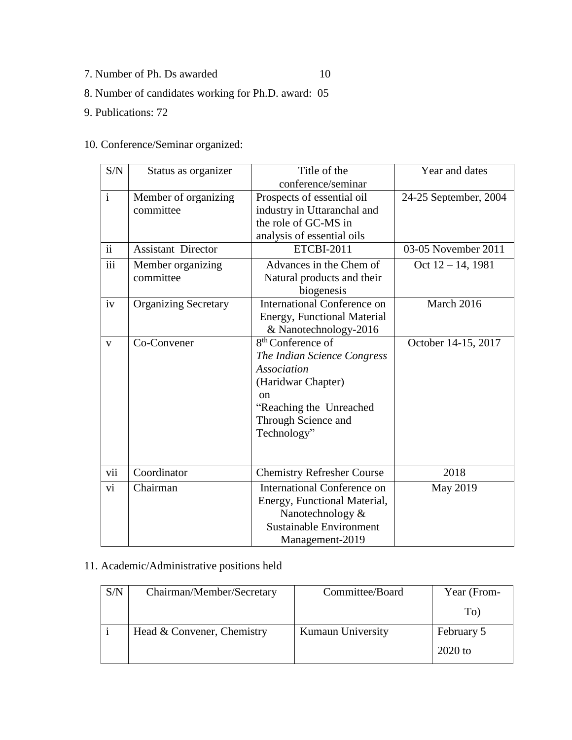7. Number of Ph. Ds awarded 10

- 8. Number of candidates working for Ph.D. award: 05
- 9. Publications: 72

## 10. Conference/Seminar organized:

| S/N            | Status as organizer         | Title of the                       | Year and dates        |
|----------------|-----------------------------|------------------------------------|-----------------------|
|                |                             | conference/seminar                 |                       |
| $\overline{i}$ | Member of organizing        | Prospects of essential oil         | 24-25 September, 2004 |
|                | committee                   | industry in Uttaranchal and        |                       |
|                |                             | the role of GC-MS in               |                       |
|                |                             | analysis of essential oils         |                       |
| ii             | <b>Assistant Director</b>   | <b>ETCBI-2011</b>                  | 03-05 November 2011   |
| iii            | Member organizing           | Advances in the Chem of            | Oct $12 - 14$ , 1981  |
|                | committee                   | Natural products and their         |                       |
|                |                             | biogenesis                         |                       |
| iv             | <b>Organizing Secretary</b> | <b>International Conference on</b> | March 2016            |
|                |                             | <b>Energy, Functional Material</b> |                       |
|                |                             | & Nanotechnology-2016              |                       |
| $\mathbf{V}$   | Co-Convener                 | 8 <sup>th</sup> Conference of      | October 14-15, 2017   |
|                |                             | The Indian Science Congress        |                       |
|                |                             | <b>Association</b>                 |                       |
|                |                             | (Haridwar Chapter)                 |                       |
|                |                             | <sub>on</sub>                      |                       |
|                |                             | "Reaching the Unreached            |                       |
|                |                             | Through Science and                |                       |
|                |                             | Technology"                        |                       |
|                |                             |                                    |                       |
|                |                             |                                    |                       |
| vii            | Coordinator                 | <b>Chemistry Refresher Course</b>  | 2018                  |
| vi             | Chairman                    | International Conference on        | May 2019              |
|                |                             | Energy, Functional Material,       |                       |
|                |                             | Nanotechnology &                   |                       |
|                |                             | <b>Sustainable Environment</b>     |                       |
|                |                             | Management-2019                    |                       |

## 11. Academic/Administrative positions held

| S/N | Chairman/Member/Secretary  | Committee/Board   | Year (From- |
|-----|----------------------------|-------------------|-------------|
|     |                            |                   | To)         |
|     | Head & Convener, Chemistry | Kumaun University | February 5  |
|     |                            |                   | $2020$ to   |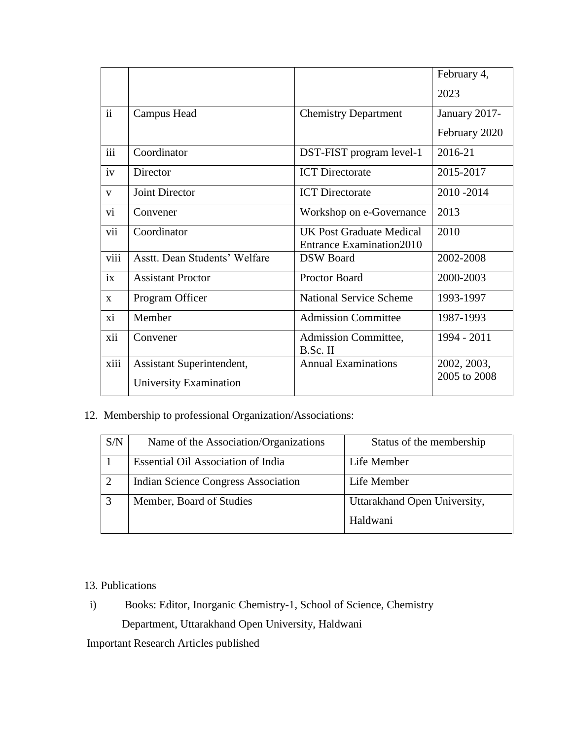|                               |                                 | February 4,                     |
|-------------------------------|---------------------------------|---------------------------------|
|                               |                                 | 2023                            |
| Campus Head                   | <b>Chemistry Department</b>     | January 2017-                   |
|                               |                                 | February 2020                   |
| Coordinator                   | DST-FIST program level-1        | 2016-21                         |
| Director                      | <b>ICT</b> Directorate          | 2015-2017                       |
| Joint Director                | <b>ICT</b> Directorate          | 2010-2014                       |
| Convener                      | Workshop on e-Governance        | 2013                            |
| Coordinator                   | <b>UK Post Graduate Medical</b> | 2010                            |
|                               |                                 |                                 |
| Asstt. Dean Students' Welfare | <b>DSW</b> Board                | 2002-2008                       |
| <b>Assistant Proctor</b>      | <b>Proctor Board</b>            | 2000-2003                       |
| Program Officer               | <b>National Service Scheme</b>  | 1993-1997                       |
| Member                        | <b>Admission Committee</b>      | 1987-1993                       |
| Convener                      | Admission Committee,            | 1994 - 2011                     |
|                               | B.Sc. II                        |                                 |
| Assistant Superintendent,     | <b>Annual Examinations</b>      | 2002, 2003,                     |
| University Examination        |                                 | 2005 to 2008                    |
|                               |                                 | <b>Entrance Examination2010</b> |

# 12. Membership to professional Organization/Associations:

| S/N            | Name of the Association/Organizations     | Status of the membership     |
|----------------|-------------------------------------------|------------------------------|
|                | <b>Essential Oil Association of India</b> | Life Member                  |
| $\overline{2}$ | Indian Science Congress Association       | Life Member                  |
| 3              | Member, Board of Studies                  | Uttarakhand Open University, |
|                |                                           | Haldwani                     |

### 13. Publications

 i) Books: Editor, Inorganic Chemistry-1, School of Science, Chemistry Department, Uttarakhand Open University, Haldwani

Important Research Articles published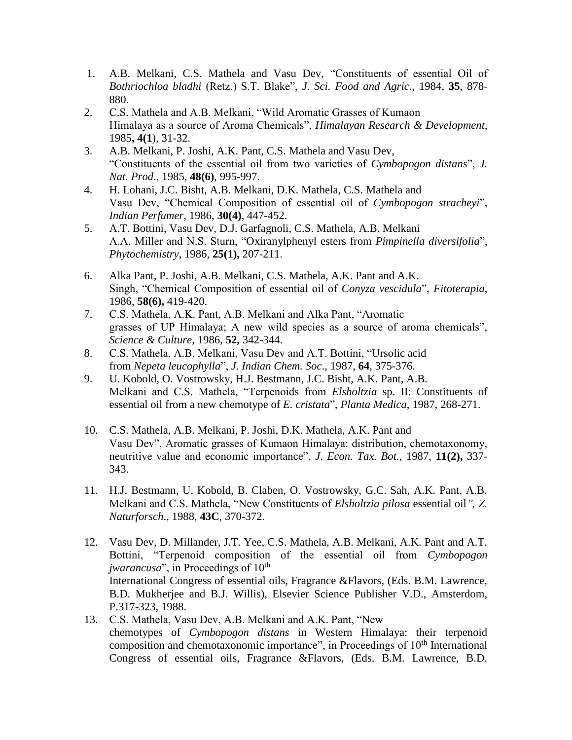- 1. A.B. Melkani, C.S. Mathela and Vasu Dev, "Constituents of essential Oil of *Bothriochloa bladhi* (Retz.) S.T. Blake", *J. Sci. Food and Agric*., 1984, **35**, 878- 880.
- 2. C.S. Mathela and A.B. Melkani, "Wild Aromatic Grasses of Kumaon Himalaya as a source of Aroma Chemicals", *Himalayan Research & Development*, 1985**, 4(1**), 31-32.
- 3. A.B. Melkani, P. Joshi, A.K. Pant, C.S. Mathela and Vasu Dev, "Constituents of the essential oil from two varieties of *Cymbopogon distans*", *J. Nat. Prod*., 1985, **48(6)**, 995-997.
- 4. H. Lohani, J.C. Bisht, A.B. Melkani, D.K. Mathela, C.S. Mathela and Vasu Dev, "Chemical Composition of essential oil of *Cymbopogon stracheyi*", *Indian Perfumer*, 1986, **30(4)**, 447-452.
- 5. A.T. Bottini, Vasu Dev, D.J. Garfagnoli, C.S. Mathela, A.B. Melkani A.A. Miller and N.S. Sturn, "Oxiranylphenyl esters from *Pimpinella diversifolia*", *Phytochemistry*, 1986, **25(1),** 207-211.
- 6. Alka Pant, P. Joshi, A.B. Melkani, C.S. Mathela, A.K. Pant and A.K. Singh, "Chemical Composition of essential oil of *Conyza vescidula*", *Fitoterapia*, 1986, **58(6),** 419-420.
- 7. C.S. Mathela, A.K. Pant, A.B. Melkani and Alka Pant, "Aromatic grasses of UP Himalaya; A new wild species as a source of aroma chemicals", *Science & Culture*, 1986, **52,** 342-344.
- 8. C.S. Mathela, A.B. Melkani, Vasu Dev and A.T. Bottini, "Ursolic acid from *Nepeta leucophylla*", *J. Indian Chem. Soc*., 1987, **64**, 375-376.
- 9. U. Kobold, O. Vostrowsky, H.J. Bestmann, J.C. Bisht, A.K. Pant, A.B. Melkani and C.S. Mathela, "Terpenoids from *Elsholtzia* sp. II: Constituents of essential oil from a new chemotype of *E. cristata*", *Planta Medica*, 1987, 268-271.
- 10. C.S. Mathela, A.B. Melkani, P. Joshi, D.K. Mathela, A.K. Pant and Vasu Dev", Aromatic grasses of Kumaon Himalaya: distribution, chemotaxonomy, neutritive value and economic importance", *J*. *Econ. Tax. Bot.,* 1987, **11(2),** 337- 343.
- 11. H.J. Bestmann, U. Kobold, B. Claben, O. Vostrowsky, G.C. Sah, A.K. Pant, A.B. Melkani and C.S. Mathela, "New Constituents of *Elsholtzia pilosa* essential oil*", Z. Naturforsch*., 1988, **43C**, 370-372.
- 12. Vasu Dev, D. Millander, J.T. Yee, C.S. Mathela, A.B. Melkani, A.K. Pant and A.T. Bottini, "Terpenoid composition of the essential oil from *Cymbopogon jwarancusa*", in Proceedings of 10<sup>th</sup> International Congress of essential oils, Fragrance &Flavors, (Eds. B.M. Lawrence, B.D. Mukherjee and B.J. Willis), Elsevier Science Publisher V.D., Amsterdom, P.317-323, 1988.
- 13. C.S. Mathela, Vasu Dev, A.B. Melkani and A.K. Pant, "New chemotypes of *Cymbopogon distans* in Western Himalaya: their terpenoid composition and chemotaxonomic importance", in Proceedings of  $10<sup>th</sup>$  International Congress of essential oils, Fragrance &Flavors, (Eds. B.M. Lawrence, B.D.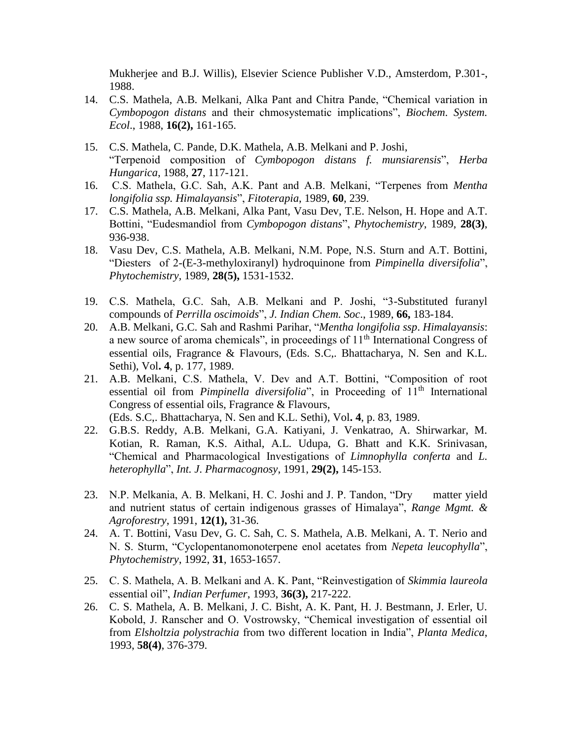Mukherjee and B.J. Willis), Elsevier Science Publisher V.D., Amsterdom, P.301-, 1988.

- 14. C.S. Mathela, A.B. Melkani, Alka Pant and Chitra Pande, "Chemical variation in *Cymbopogon distans* and their chmosystematic implications", *Biochem. System. Ecol*., 1988, **16(2),** 161-165.
- 15. C.S. Mathela, C. Pande, D.K. Mathela, A.B. Melkani and P. Joshi, "Terpenoid composition of *Cymbopogon distans f. munsiarensis*", *Herba Hungarica*, 1988, **27**, 117-121.
- 16. C.S. Mathela, G.C. Sah, A.K. Pant and A.B. Melkani, "Terpenes from *Mentha longifolia ssp. Himalayansis*", *Fitoterapia*, 1989, **60**, 239.
- 17. C.S. Mathela, A.B. Melkani, Alka Pant, Vasu Dev, T.E. Nelson, H. Hope and A.T. Bottini, "Eudesmandiol from *Cymbopogon distans*", *Phytochemistry*, 1989, **28(3)**, 936-938.
- 18. Vasu Dev, C.S. Mathela, A.B. Melkani, N.M. Pope, N.S. Sturn and A.T. Bottini, "Diesters of 2-(E-3-methyloxiranyl) hydroquinone from *Pimpinella diversifolia*", *Phytochemistry,* 1989, **28(5),** 1531-1532.
- 19. C.S. Mathela, G.C. Sah, A.B. Melkani and P. Joshi, "3-Substituted furanyl compounds of *Perrilla oscimoids*", *J. Indian Chem. Soc*., 1989, **66,** 183-184.
- 20. A.B. Melkani, G.C. Sah and Rashmi Parihar, "*Mentha longifolia ssp*. *Himalayansis*: a new source of aroma chemicals", in proceedings of 11th International Congress of essential oils, Fragrance & Flavours, (Eds. S.C,. Bhattacharya, N. Sen and K.L. Sethi), Vol**. 4**, p. 177, 1989.
- 21. A.B. Melkani, C.S. Mathela, V. Dev and A.T. Bottini, "Composition of root essential oil from *Pimpinella diversifolia*", in Proceeding of 11<sup>th</sup> International Congress of essential oils, Fragrance & Flavours,

(Eds. S.C,. Bhattacharya, N. Sen and K.L. Sethi), Vol**. 4**, p. 83, 1989.

- 22. G.B.S. Reddy, A.B. Melkani, G.A. Katiyani, J. Venkatrao, A. Shirwarkar, M. Kotian, R. Raman, K.S. Aithal, A.L. Udupa, G. Bhatt and K.K. Srinivasan, "Chemical and Pharmacological Investigations of *Limnophylla conferta* and *L. heterophylla*", *Int. J*. *Pharmacognosy*, 1991, **29(2),** 145-153.
- 23. N.P. Melkania, A. B. Melkani, H. C. Joshi and J. P. Tandon, "Dry matter yield and nutrient status of certain indigenous grasses of Himalaya", *Range Mgmt. & Agroforestry*, 1991, **12(1),** 31-36.
- 24. A. T. Bottini, Vasu Dev, G. C. Sah, C. S. Mathela, A.B. Melkani, A. T. Nerio and N. S. Sturm, "Cyclopentanomonoterpene enol acetates from *Nepeta leucophylla*", *Phytochemistry*, 1992, **31**, 1653-1657.
- 25. C. S. Mathela, A. B. Melkani and A. K. Pant, "Reinvestigation of *Skimmia laureola* essential oil", *Indian Perfumer*, 1993, **36(3),** 217-222.
- 26. C. S. Mathela, A. B. Melkani, J. C. Bisht, A. K. Pant, H. J. Bestmann, J. Erler, U. Kobold, J. Ranscher and O. Vostrowsky, "Chemical investigation of essential oil from *Elsholtzia polystrachia* from two different location in India", *Planta Medica*, 1993, **58(4)**, 376-379.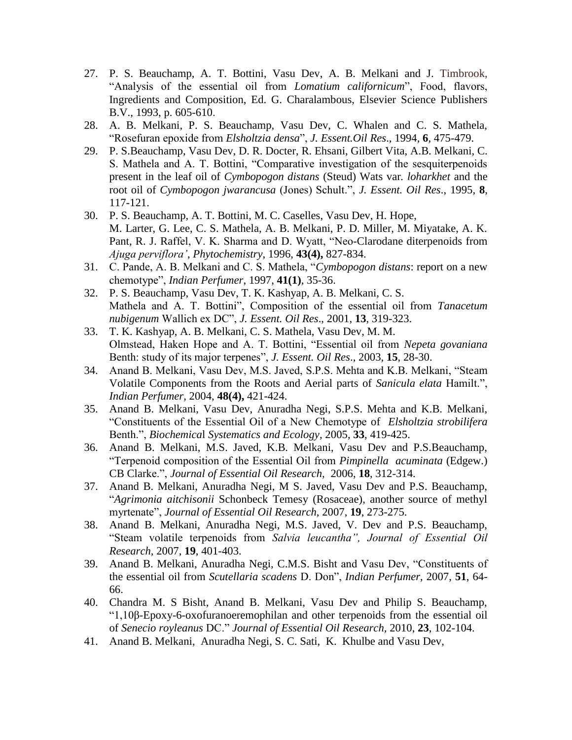- 27. P. S. Beauchamp, A. T. Bottini, Vasu Dev, A. B. Melkani and J. Timbrook, "Analysis of the essential oil from *Lomatium californicum*", Food, flavors, Ingredients and Composition, Ed. G. Charalambous, Elsevier Science Publishers B.V., 1993, p. 605-610.
- 28. A. B. Melkani, P. S. Beauchamp, Vasu Dev, C. Whalen and C. S. Mathela, "Rosefuran epoxide from *Elsholtzia densa*", *J. Essent.Oil Res*., 1994*,* **6**, 475-479.
- 29. P. S.Beauchamp, Vasu Dev, D. R. Docter, R. Ehsani, Gilbert Vita, A.B. Melkani, C. S. Mathela and A. T. Bottini, "Comparative investigation of the sesquiterpenoids present in the leaf oil of *Cymbopogon distans* (Steud) Wats var*. loharkhet* and the root oil of *Cymbopogon jwarancusa* (Jones) Schult.", *J. Essent. Oil Res*., 1995, **8**, 117-121.
- 30. P. S. Beauchamp, A. T. Bottini, M. C. Caselles, Vasu Dev, H. Hope, M. Larter, G. Lee, C. S. Mathela, A. B. Melkani, P. D. Miller, M. Miyatake, A. K. Pant, R. J. Raffel, V. K. Sharma and D. Wyatt, "Neo-Clarodane diterpenoids from *Ajuga perviflora'*, *Phytochemistry*, 1996, **43(4),** 827-834.
- 31. C. Pande, A. B. Melkani and C. S. Mathela, "*Cymbopogon distans*: report on a new chemotype", *Indian Perfumer*, 1997, **41(1)**, 35-36.
- 32. P. S. Beauchamp, Vasu Dev, T. K. Kashyap, A. B. Melkani, C. S. Mathela and A. T. Bottini", Composition of the essential oil from *Tanacetum nubigenum* Wallich ex DC", *J. Essent. Oil Res*., 2001, **13**, 319-323.
- 33. T. K. Kashyap, A. B. Melkani, C. S. Mathela, Vasu Dev, M. M. Olmstead, Haken Hope and A. T. Bottini, "Essential oil from *Nepeta govaniana* Benth: study of its major terpenes", *J. Essent. Oil Res*., 2003, **15**, 28-30.
- 34. Anand B. Melkani, Vasu Dev, M.S. Javed, S.P.S. Mehta and K.B. Melkani, "Steam Volatile Components from the Roots and Aerial parts of *Sanicula elata* Hamilt.", *Indian Perfumer,* 2004, **48(4),** 421-424.
- 35. Anand B. Melkani, Vasu Dev, Anuradha Negi, S.P.S. Mehta and K.B. Melkani, "Constituents of the Essential Oil of a New Chemotype of *Elsholtzia strobilifera* Benth.", *Biochemica*l *Systematics and Ecology,* 2005, **33**, 419-425.
- 36. Anand B. Melkani, M.S. Javed, K.B. Melkani, Vasu Dev and P.S.Beauchamp, "Terpenoid composition of the Essential Oil from *Pimpinella acuminata* (Edgew.) CB Clarke.", *Journal of Essential Oil Research,* 2006, **18**, 312-314.
- 37. Anand B. Melkani, Anuradha Negi, M S. Javed, Vasu Dev and P.S. Beauchamp, "*Agrimonia aitchisonii* Schonbeck Temesy (Rosaceae), another source of methyl myrtenate", *Journal of Essential Oil Research,* 2007, **19**, 273-275.
- 38. Anand B. Melkani, Anuradha Negi, M.S. Javed, V. Dev and P.S. Beauchamp, "Steam volatile terpenoids from *Salvia leucantha", Journal of Essential Oil Research,* 2007, **19**, 401-403.
- 39. Anand B. Melkani, Anuradha Negi, C.M.S. Bisht and Vasu Dev, "Constituents of the essential oil from *Scutellaria scadens* D. Don", *Indian Perfumer*, 2007, **51**, 64- 66.
- 40. Chandra M. S Bisht, Anand B. Melkani, Vasu Dev and Philip S. Beauchamp, "1,10β-Epoxy-6-oxofuranoeremophilan and other terpenoids from the essential oil of *Senecio royleanus* DC." *Journal of Essential Oil Research,* 2010, **23**, 102-104.
- 41. Anand B. Melkani, Anuradha Negi, S. C. Sati, K. Khulbe and Vasu Dev,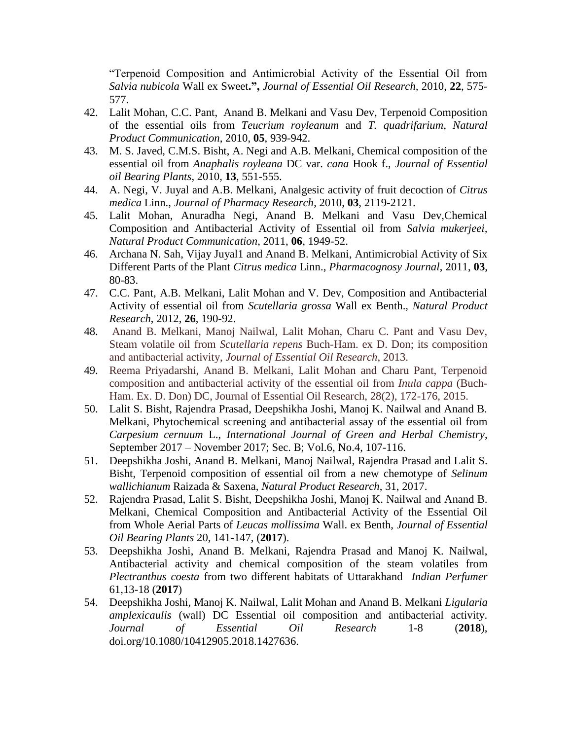"Terpenoid Composition and Antimicrobial Activity of the Essential Oil from *Salvia nubicola* Wall ex Sweet**.",** *Journal of Essential Oil Research,* 2010, **22**, 575- 577.

- 42. Lalit Mohan, C.C. Pant, Anand B. Melkani and Vasu Dev, Terpenoid Composition of the essential oils from *Teucrium royleanum* and *T. quadrifarium*, *Natural Product Communication*, 2010, **05**, 939-942.
- 43. M. S. Javed, C.M.S. Bisht, A. Negi and A.B. Melkani, Chemical composition of the essential oil from *Anaphalis royleana* DC var. *cana* Hook f., *Journal of Essential oil Bearing Plants*, 2010, **13**, 551-555.
- 44. A. Negi, V. Juyal and A.B. Melkani, Analgesic activity of fruit decoction of *Citrus medica* Linn., *Journal of Pharmacy Research*, 2010, **03**, 2119-2121.
- 45. Lalit Mohan, Anuradha Negi, Anand B. Melkani and Vasu Dev,Chemical Composition and Antibacterial Activity of Essential oil from *Salvia mukerjeei, Natural Product Communication*, 2011, **06**, 1949-52.
- 46. Archana N. Sah, Vijay Juyal1 and Anand B. Melkani, Antimicrobial Activity of Six Different Parts of the Plant *Citrus medica* Linn., *Pharmacognosy Journal*, 2011, **03**, 80-83.
- 47. C.C. Pant, A.B. Melkani, Lalit Mohan and V. Dev, Composition and Antibacterial Activity of essential oil from *Scutellaria grossa* Wall ex Benth., *Natural Product Research*, 2012, **26**, 190-92.
- 48. Anand B. Melkani, Manoj Nailwal, Lalit Mohan, Charu C. Pant and Vasu Dev, Steam volatile oil from *Scutellaria repens* Buch-Ham. ex D. Don; its composition and antibacterial activity, *Journal of Essential Oil Research*, 2013.
- 49. Reema Priyadarshi, Anand B. Melkani, Lalit Mohan and Charu Pant, Terpenoid composition and antibacterial activity of the essential oil from *Inula cappa* (Buch-Ham. Ex. D. Don) DC, Journal of Essential Oil Research, 28(2), 172-176, 2015.
- 50. Lalit S. Bisht, Rajendra Prasad, Deepshikha Joshi, Manoj K. Nailwal and Anand B. Melkani, Phytochemical screening and antibacterial assay of the essential oil from *Carpesium cernuum* L., *International Journal of Green and Herbal Chemistry*, September 2017 – November 2017; Sec. B; Vol.6, No.4, 107-116.
- 51. Deepshikha Joshi, Anand B. Melkani, Manoj Nailwal, Rajendra Prasad and Lalit S. Bisht, Terpenoid composition of essential oil from a new chemotype of *Selinum wallichianum* Raizada & Saxena, *Natural Product Research*, 31, 2017.
- 52. [Rajendra Prasad,](http://www.tandfonline.com/author/Prasad%2C+Rajendra) [Lalit S. Bisht,](http://www.tandfonline.com/author/Bisht%2C+Lalit+S) [Deepshikha Joshi,](http://www.tandfonline.com/author/Joshi%2C+Deepshikha) [Manoj K. Nailwal](http://www.tandfonline.com/author/Nailwal%2C+Manoj+K) and [Anand B.](mailto:Anand%20B.%20Melkani)  [Melkani,](mailto:Anand%20B.%20Melkani) Chemical Composition and Antibacterial Activity of the Essential Oil from Whole Aerial Parts of *Leucas mollissima* Wall. ex Benth, *[Journal of Essential](http://www.tandfonline.com/toc/teop20/current)  [Oil Bearing Plants](http://www.tandfonline.com/toc/teop20/current)* 20, 141-147, (**2017**).
- 53. [Deepshikha Joshi,](http://www.tandfonline.com/author/Joshi%2C+Deepshikha) Anand B. Melkani, [Rajendra Prasad](http://www.tandfonline.com/author/Prasad%2C+Rajendra) and [Manoj K. Nailwal,](http://www.tandfonline.com/author/Nailwal%2C+Manoj+K) Antibacterial activity and chemical composition of the steam volatiles from *Plectranthus coesta* from two different habitats of Uttarakhand *Indian Perfumer*  61,13-18 (**2017**)
- 54. [Deepshikha Joshi,](http://www.tandfonline.com/author/Joshi%2C+Deepshikha) [Manoj K. Nailwal,](http://www.tandfonline.com/author/Nailwal%2C+Manoj+K) Lalit Mohan and Anand B. Melkani *Ligularia amplexicaulis* (wall) DC Essential oil composition and antibacterial activity. *Journal of Essential Oil Research* 1-8 (**2018**), doi.org/10.1080/10412905.2018.1427636.